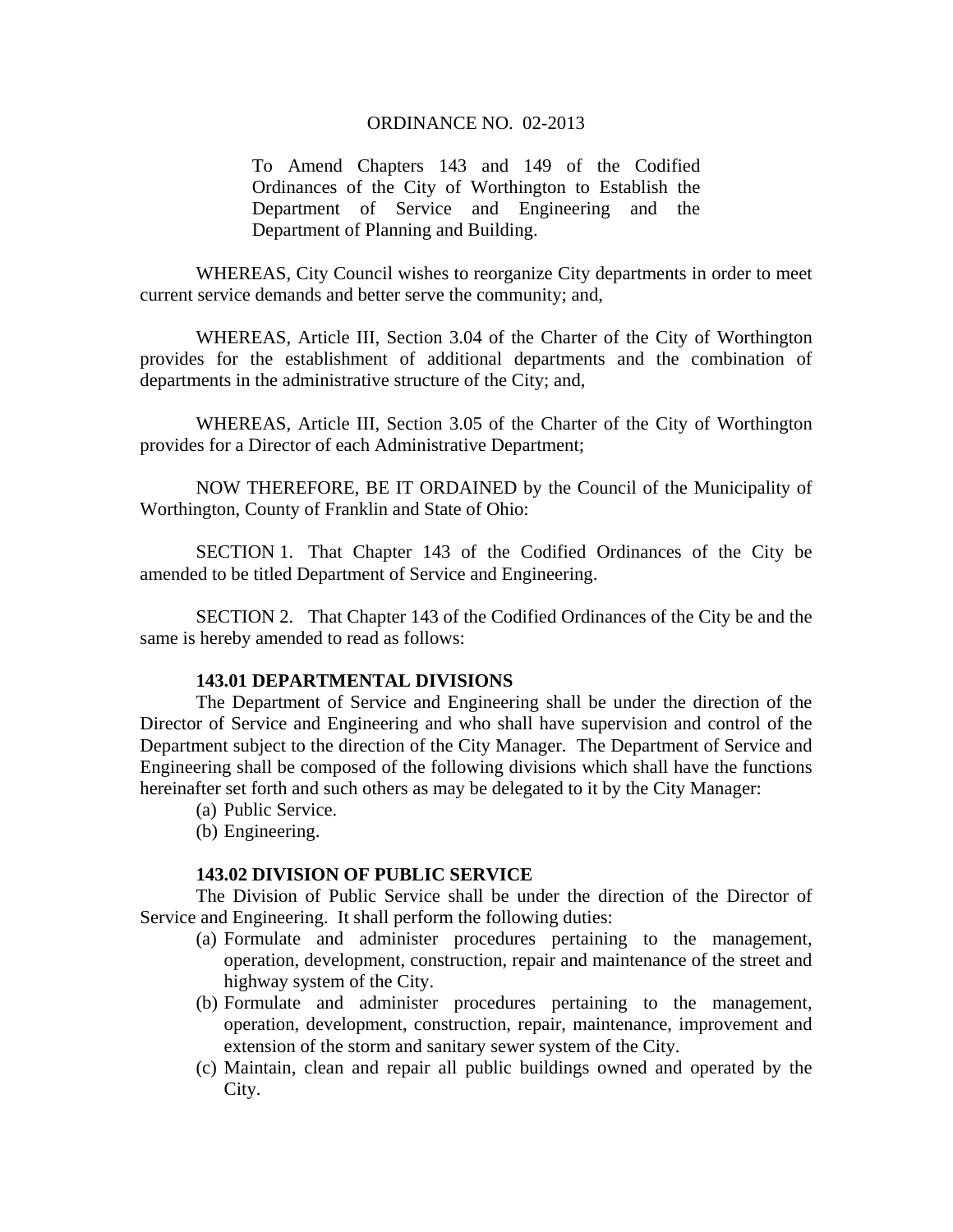To Amend Chapters 143 and 149 of the Codified Ordinances of the City of Worthington to Establish the Department of Service and Engineering and the Department of Planning and Building.

WHEREAS, City Council wishes to reorganize City departments in order to meet current service demands and better serve the community; and,

WHEREAS, Article III, Section 3.04 of the Charter of the City of Worthington provides for the establishment of additional departments and the combination of departments in the administrative structure of the City; and,

WHEREAS, Article III, Section 3.05 of the Charter of the City of Worthington provides for a Director of each Administrative Department;

NOW THEREFORE, BE IT ORDAINED by the Council of the Municipality of Worthington, County of Franklin and State of Ohio:

SECTION 1. That Chapter 143 of the Codified Ordinances of the City be amended to be titled Department of Service and Engineering.

SECTION 2. That Chapter 143 of the Codified Ordinances of the City be and the same is hereby amended to read as follows:

#### **143.01 DEPARTMENTAL DIVISIONS**

The Department of Service and Engineering shall be under the direction of the Director of Service and Engineering and who shall have supervision and control of the Department subject to the direction of the City Manager. The Department of Service and Engineering shall be composed of the following divisions which shall have the functions hereinafter set forth and such others as may be delegated to it by the City Manager:

- (a) Public Service.
- (b) Engineering.

### **143.02 DIVISION OF PUBLIC SERVICE**

The Division of Public Service shall be under the direction of the Director of Service and Engineering. It shall perform the following duties:

- (a) Formulate and administer procedures pertaining to the management, operation, development, construction, repair and maintenance of the street and highway system of the City.
- (b) Formulate and administer procedures pertaining to the management, operation, development, construction, repair, maintenance, improvement and extension of the storm and sanitary sewer system of the City.
- (c) Maintain, clean and repair all public buildings owned and operated by the City.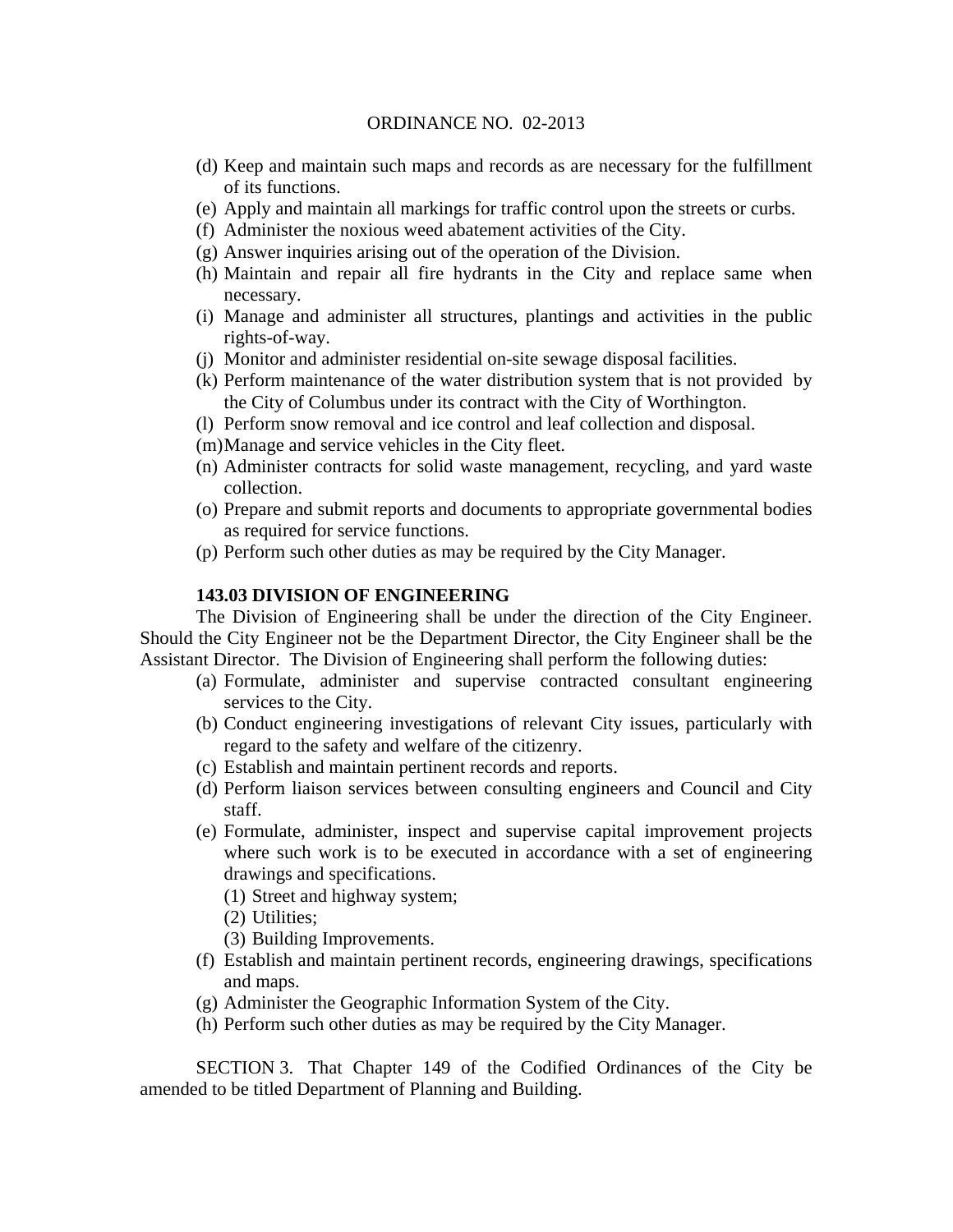- (d) Keep and maintain such maps and records as are necessary for the fulfillment of its functions.
- (e) Apply and maintain all markings for traffic control upon the streets or curbs.
- (f) Administer the noxious weed abatement activities of the City.
- (g) Answer inquiries arising out of the operation of the Division.
- (h) Maintain and repair all fire hydrants in the City and replace same when necessary.
- (i) Manage and administer all structures, plantings and activities in the public rights-of-way.
- (j) Monitor and administer residential on-site sewage disposal facilities.
- (k) Perform maintenance of the water distribution system that is not provided by the City of Columbus under its contract with the City of Worthington.
- (l) Perform snow removal and ice control and leaf collection and disposal.
- (m)Manage and service vehicles in the City fleet.
- (n) Administer contracts for solid waste management, recycling, and yard waste collection.
- (o) Prepare and submit reports and documents to appropriate governmental bodies as required for service functions.
- (p) Perform such other duties as may be required by the City Manager.

# **143.03 DIVISION OF ENGINEERING**

The Division of Engineering shall be under the direction of the City Engineer. Should the City Engineer not be the Department Director, the City Engineer shall be the Assistant Director. The Division of Engineering shall perform the following duties:

- (a) Formulate, administer and supervise contracted consultant engineering services to the City.
- (b) Conduct engineering investigations of relevant City issues, particularly with regard to the safety and welfare of the citizenry.
- (c) Establish and maintain pertinent records and reports.
- (d) Perform liaison services between consulting engineers and Council and City staff.
- (e) Formulate, administer, inspect and supervise capital improvement projects where such work is to be executed in accordance with a set of engineering drawings and specifications.
	- (1) Street and highway system;
	- (2) Utilities;
	- (3) Building Improvements.
- (f) Establish and maintain pertinent records, engineering drawings, specifications and maps.
- (g) Administer the Geographic Information System of the City.
- (h) Perform such other duties as may be required by the City Manager.

SECTION 3. That Chapter 149 of the Codified Ordinances of the City be amended to be titled Department of Planning and Building.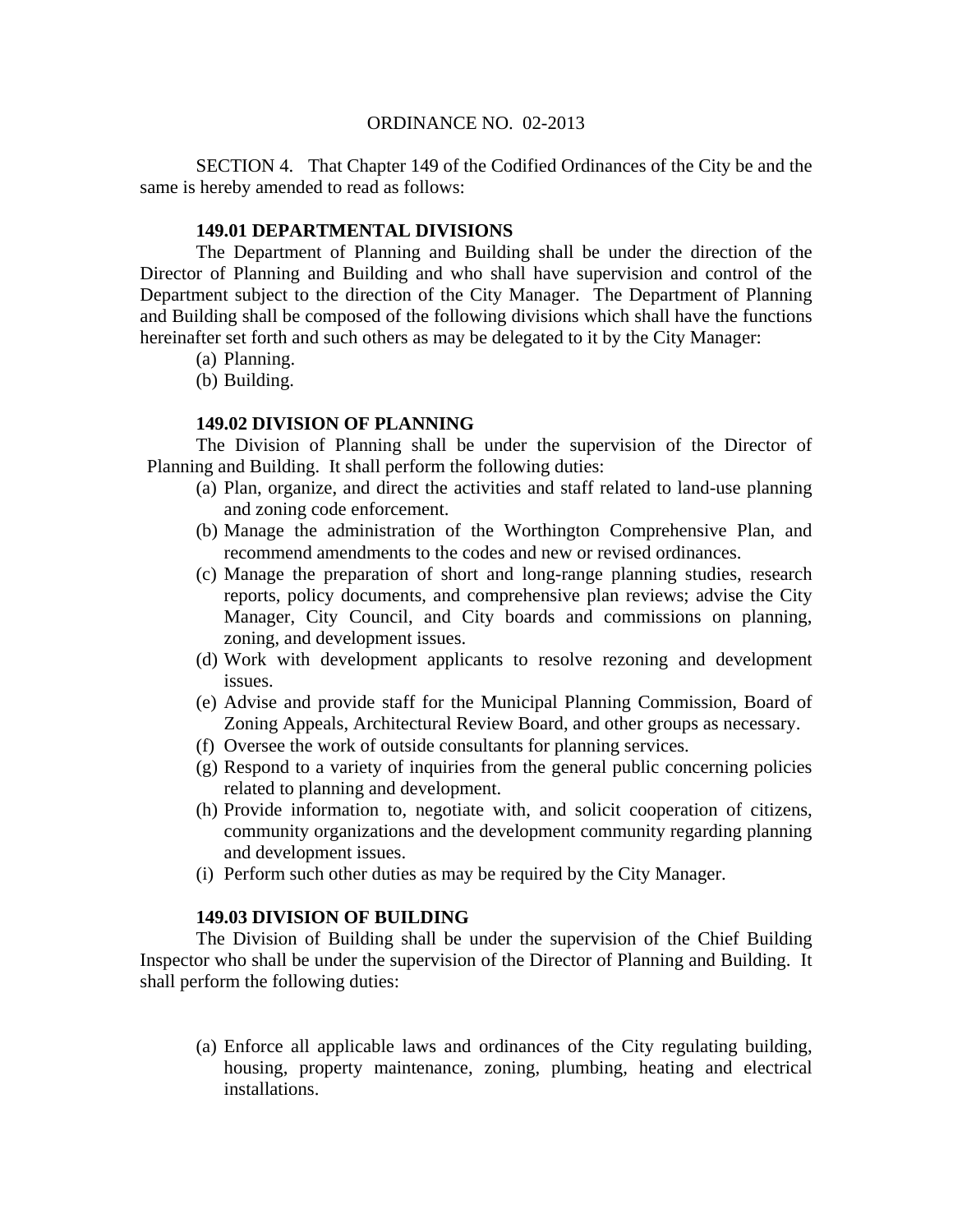SECTION 4. That Chapter 149 of the Codified Ordinances of the City be and the same is hereby amended to read as follows:

# **149.01 DEPARTMENTAL DIVISIONS**

The Department of Planning and Building shall be under the direction of the Director of Planning and Building and who shall have supervision and control of the Department subject to the direction of the City Manager. The Department of Planning and Building shall be composed of the following divisions which shall have the functions hereinafter set forth and such others as may be delegated to it by the City Manager:

- (a) Planning.
- (b) Building.

## **149.02 DIVISION OF PLANNING**

The Division of Planning shall be under the supervision of the Director of Planning and Building. It shall perform the following duties:

- (a) Plan, organize, and direct the activities and staff related to land-use planning and zoning code enforcement.
- (b) Manage the administration of the Worthington Comprehensive Plan, and recommend amendments to the codes and new or revised ordinances.
- (c) Manage the preparation of short and long-range planning studies, research reports, policy documents, and comprehensive plan reviews; advise the City Manager, City Council, and City boards and commissions on planning, zoning, and development issues.
- (d) Work with development applicants to resolve rezoning and development issues.
- (e) Advise and provide staff for the Municipal Planning Commission, Board of Zoning Appeals, Architectural Review Board, and other groups as necessary.
- (f) Oversee the work of outside consultants for planning services.
- (g) Respond to a variety of inquiries from the general public concerning policies related to planning and development.
- (h) Provide information to, negotiate with, and solicit cooperation of citizens, community organizations and the development community regarding planning and development issues.
- (i) Perform such other duties as may be required by the City Manager.

## **149.03 DIVISION OF BUILDING**

The Division of Building shall be under the supervision of the Chief Building Inspector who shall be under the supervision of the Director of Planning and Building. It shall perform the following duties:

(a) Enforce all applicable laws and ordinances of the City regulating building, housing, property maintenance, zoning, plumbing, heating and electrical installations.